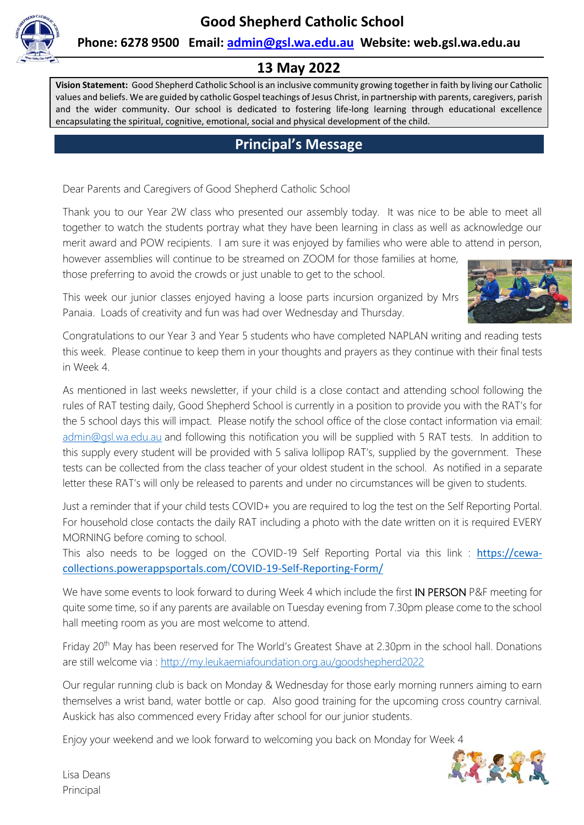

#### **Phone: 6278 9500 Email: [admin@gsl.wa.edu.au](mailto:admin@gsl.wa.edu.au) Website: web.gsl.wa.edu.au**

## **13 May 2022**

**Vision Statement:** Good Shepherd Catholic School is an inclusive community growing together in faith by living our Catholic values and beliefs. We are guided by catholic Gospel teachings of Jesus Christ, in partnership with parents, caregivers, parish and the wider community. Our school is dedicated to fostering life-long learning through educational excellence encapsulating the spiritual, cognitive, emotional, social and physical development of the child.

## **Principal's Message**

Dear Parents and Caregivers of Good Shepherd Catholic School

Thank you to our Year 2W class who presented our assembly today. It was nice to be able to meet all together to watch the students portray what they have been learning in class as well as acknowledge our merit award and POW recipients. I am sure it was enjoyed by families who were able to attend in person,

however assemblies will continue to be streamed on ZOOM for those families at home, those preferring to avoid the crowds or just unable to get to the school.



This week our junior classes enjoyed having a loose parts incursion organized by Mrs Panaia. Loads of creativity and fun was had over Wednesday and Thursday.

Congratulations to our Year 3 and Year 5 students who have completed NAPLAN writing and reading tests this week. Please continue to keep them in your thoughts and prayers as they continue with their final tests in Week 4.

As mentioned in last weeks newsletter, if your child is a close contact and attending school following the rules of RAT testing daily, Good Shepherd School is currently in a position to provide you with the RAT's for the 5 school days this will impact. Please notify the school office of the close contact information via email: [admin@gsl.wa.edu.au](mailto:admin@gsl.wa.edu.au) and following this notification you will be supplied with 5 RAT tests. In addition to this supply every student will be provided with 5 saliva lollipop RAT's, supplied by the government. These tests can be collected from the class teacher of your oldest student in the school. As notified in a separate letter these RAT's will only be released to parents and under no circumstances will be given to students.

Just a reminder that if your child tests COVID+ you are required to log the test on the Self Reporting Portal. For household close contacts the daily RAT including a photo with the date written on it is required EVERY MORNING before coming to school.

This also needs to be logged on the COVID-19 Self Reporting Portal via this link : [https://cewa](https://aus01.safelinks.protection.outlook.com/?url=https%3A%2F%2Fcewa-collections.powerappsportals.com%2FCOVID-19-Self-Reporting-Form%2F&data=04%7C01%7Cadmin%40gsl.wa.edu.au%7C387fc9cdbf30476e9a6608da16ae4e13%7Cc5852f2336334f29b38651da53e35e23%7C0%7C0%7C637847235717401539%7CUnknown%7CTWFpbGZsb3d8eyJWIjoiMC4wLjAwMDAiLCJQIjoiV2luMzIiLCJBTiI6Ik1haWwiLCJXVCI6Mn0%3D%7C0&sdata=h09YD8y4D7Jb22m3tQCuAKh7vg%2BBh9JpxwY0Q66OXdI%3D&reserved=0)[collections.powerappsportals.com/COVID-19-Self-Reporting-Form/](https://aus01.safelinks.protection.outlook.com/?url=https%3A%2F%2Fcewa-collections.powerappsportals.com%2FCOVID-19-Self-Reporting-Form%2F&data=04%7C01%7Cadmin%40gsl.wa.edu.au%7C387fc9cdbf30476e9a6608da16ae4e13%7Cc5852f2336334f29b38651da53e35e23%7C0%7C0%7C637847235717401539%7CUnknown%7CTWFpbGZsb3d8eyJWIjoiMC4wLjAwMDAiLCJQIjoiV2luMzIiLCJBTiI6Ik1haWwiLCJXVCI6Mn0%3D%7C0&sdata=h09YD8y4D7Jb22m3tQCuAKh7vg%2BBh9JpxwY0Q66OXdI%3D&reserved=0)

We have some events to look forward to during Week 4 which include the first IN PERSON P&F meeting for quite some time, so if any parents are available on Tuesday evening from 7.30pm please come to the school hall meeting room as you are most welcome to attend.

Friday 20<sup>th</sup> May has been reserved for The World's Greatest Shave at 2.30pm in the school hall. Donations are still welcome via :<http://my.leukaemiafoundation.org.au/goodshepherd2022>

Our regular running club is back on Monday & Wednesday for those early morning runners aiming to earn themselves a wrist band, water bottle or cap. Also good training for the upcoming cross country carnival. Auskick has also commenced every Friday after school for our junior students.

Enjoy your weekend and we look forward to welcoming you back on Monday for Week 4



Lisa Deans Principal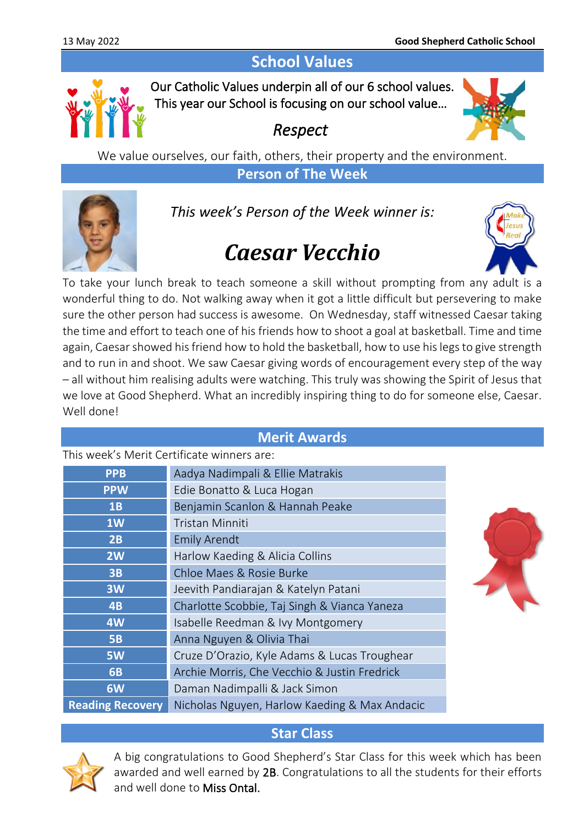# **School Values**



Our Catholic Values underpin all of our 6 school values. This year our School is focusing on our school value…

# *Respect*



We value ourselves, our faith, others, their property and the environment. **Person of The Week**



*This week's Person of the Week winner is:*

# *Caesar Vecchio*



To take your lunch break to teach someone a skill without prompting from any adult is a wonderful thing to do. Not walking away when it got a little difficult but persevering to make sure the other person had success is awesome. On Wednesday, staff witnessed Caesar taking the time and effort to teach one of his friends how to shoot a goal at basketball. Time and time again, Caesar showed his friend how to hold the basketball, how to use his legs to give strength and to run in and shoot. We saw Caesar giving words of encouragement every step of the way – all without him realising adults were watching. This truly was showing the Spirit of Jesus that we love at Good Shepherd. What an incredibly inspiring thing to do for someone else, Caesar. Well done!

#### **Merit Awards**

This week's Merit Certificate winners are:

| <b>PPB</b>              | Aadya Nadimpali & Ellie Matrakis              |  |
|-------------------------|-----------------------------------------------|--|
| <b>PPW</b>              | Edie Bonatto & Luca Hogan                     |  |
| 1B                      | Benjamin Scanlon & Hannah Peake               |  |
| 1W                      | <b>Tristan Minniti</b>                        |  |
| 2B                      | <b>Emily Arendt</b>                           |  |
| 2W                      | Harlow Kaeding & Alicia Collins               |  |
| 3B                      | Chloe Maes & Rosie Burke                      |  |
| 3W                      | Jeevith Pandiarajan & Katelyn Patani          |  |
| 4B                      | Charlotte Scobbie, Taj Singh & Vianca Yaneza  |  |
| 4W                      | Isabelle Reedman & Ivy Montgomery             |  |
| <b>5B</b>               | Anna Nguyen & Olivia Thai                     |  |
| <b>5W</b>               | Cruze D'Orazio, Kyle Adams & Lucas Troughear  |  |
| <b>6B</b>               | Archie Morris, Che Vecchio & Justin Fredrick  |  |
| 6W                      | Daman Nadimpalli & Jack Simon                 |  |
| <b>Reading Recovery</b> | Nicholas Nguyen, Harlow Kaeding & Max Andacic |  |

## **Star Class**



A big congratulations to Good Shepherd's Star Class for this week which has been awarded and well earned by 2B. Congratulations to all the students for their efforts and well done to Miss Ontal.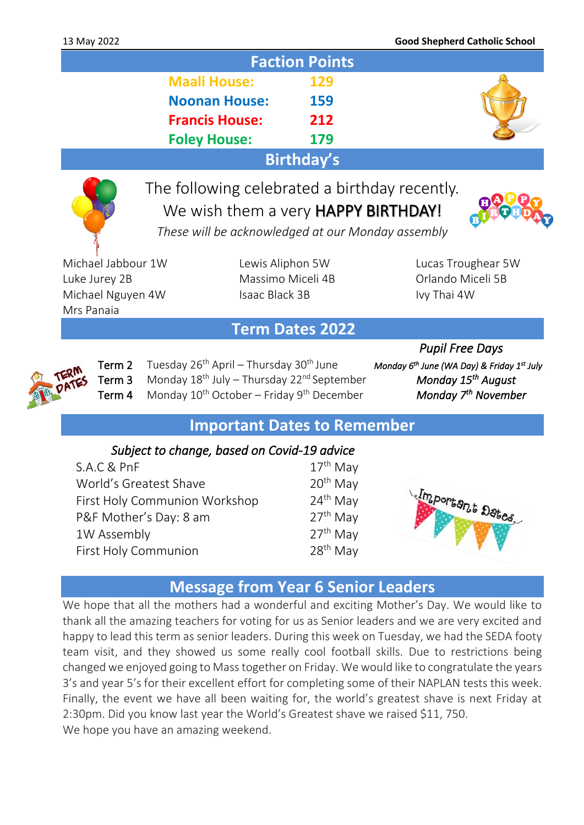|                       | <b>Faction Points</b> |  |
|-----------------------|-----------------------|--|
| <b>Maali House:</b>   | <b>129</b>            |  |
| <b>Noonan House:</b>  | 159                   |  |
| <b>Francis House:</b> | 212                   |  |
| <b>Foley House:</b>   | 179                   |  |
|                       | <b>Birthday's</b>     |  |

# The following celebrated a birthday recently. We wish them a very **HAPPY BIRTHDAY!**



*These will be acknowledged at our Monday assembly*

Michael Jabbour 1W Lewis Aliphon 5W Lucas Troughear 5W Luke Jurey 2B **Massimo Miceli 4B** Orlando Miceli 5B Michael Nguyen 4W Isaac Black 3B Ivy Thai 4W Mrs Panaia

## **Term Dates 2022**



Term 2 Tuesday 26<sup>th</sup> April – Thursday 30<sup>th</sup> June Term 3 Monday 18<sup>th</sup> July – Thursday 22<sup>nd</sup> September Term 4 Monday 10<sup>th</sup> October – Friday 9<sup>th</sup> December

 *Pupil Free Days June (WA Day) & Friday 1<sup>st</sup> July* **Monday 15<sup>th</sup> August** *Monday* 7<sup>th</sup> November

## **Important Dates to Remember**

#### *Subject to change, based on Covid-19 advice*

S.A.C & PnF  $17<sup>th</sup>$  May World's Greatest Shave 20<sup>th</sup> May First Holy Communion Workshop 24<sup>th</sup> May P&F Mother's Day: 8 am  $27<sup>th</sup>$  May 1W Assembly 27<sup>th</sup> May First Holy Communion 28<sup>th</sup> May



## **Message from Year 6 Senior Leaders**

We hope that all the mothers had a wonderful and exciting Mother's Day. We would like to thank all the amazing teachers for voting for us as Senior leaders and we are very excited and happy to lead this term as senior leaders. During this week on Tuesday, we had the SEDA footy team visit, and they showed us some really cool football skills. Due to restrictions being changed we enjoyed going to Mass together on Friday. We would like to congratulate the years 3's and year 5's for their excellent effort for completing some of their NAPLAN tests this week. Finally, the event we have all been waiting for, the world's greatest shave is next Friday at 2:30pm. Did you know last year the World's Greatest shave we raised \$11, 750. We hope you have an amazing weekend.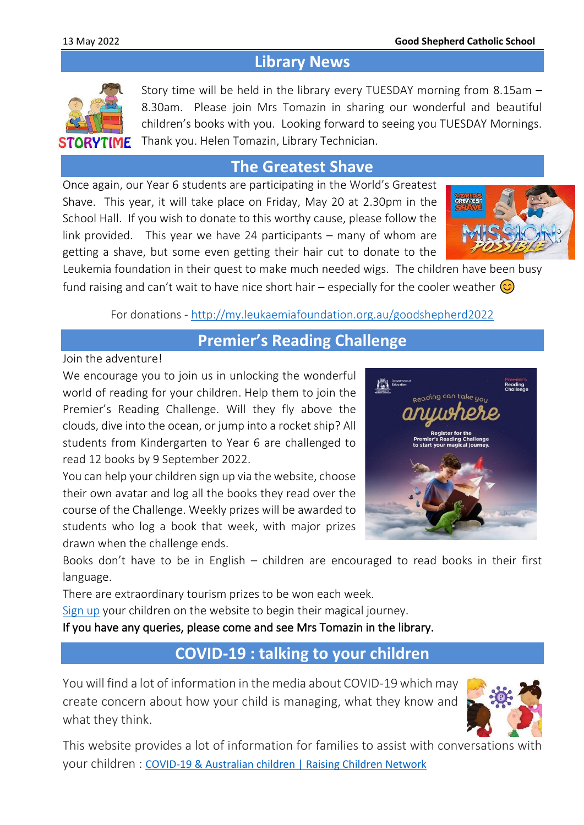## **Library News**



Story time will be held in the library every TUESDAY morning from 8.15am – 8.30am. Please join Mrs Tomazin in sharing our wonderful and beautiful children's books with you. Looking forward to seeing you TUESDAY Mornings. Thank you. Helen Tomazin, Library Technician.

## **The Greatest Shave**

Once again, our Year 6 students are participating in the World's Greatest Shave. This year, it will take place on Friday, May 20 at 2.30pm in the School Hall. If you wish to donate to this worthy cause, please follow the link provided. This year we have 24 participants – many of whom are getting a shave, but some even getting their hair cut to donate to the



Leukemia foundation in their quest to make much needed wigs. The children have been busy fund raising and can't wait to have nice short hair – especially for the cooler weather  $\circled{c}$ 

For donations - <http://my.leukaemiafoundation.org.au/goodshepherd2022>

**Premier's Reading Challenge**

Join the adventure!

We encourage you to join us in unlocking the wonderful world of reading for your children. Help them to join the Premier's Reading Challenge. Will they fly above the clouds, dive into the ocean, or jump into a rocket ship? All students from Kindergarten to Year 6 are challenged to read 12 books by 9 September 2022.

You can help your children sign up via the website, choose their own avatar and log all the books they read over the course of the Challenge. Weekly prizes will be awarded to students who log a book that week, with major prizes drawn when the challenge ends.



Books don't have to be in English – children are encouraged to read books in their first language.

There are extraordinary tourism prizes to be won each week.

[Sign up](https://www.premiersreadingchallenge.wa.edu.au/) your children on the website to begin their magical journey.

If you have any queries, please come and see Mrs Tomazin in the library.

## **COVID-19 : talking to your children**

You will find a lot of information in the media about COVID-19 which may create concern about how your child is managing, what they know and what they think.



This website provides a lot of information for families to assist with conversations with your children : [COVID-19 & Australian children | Raising Children Network](https://raisingchildren.net.au/guides/a-z-health-reference/coronavirus-and-children-in-australia#talking-with-children-about-covid-19-nav-title)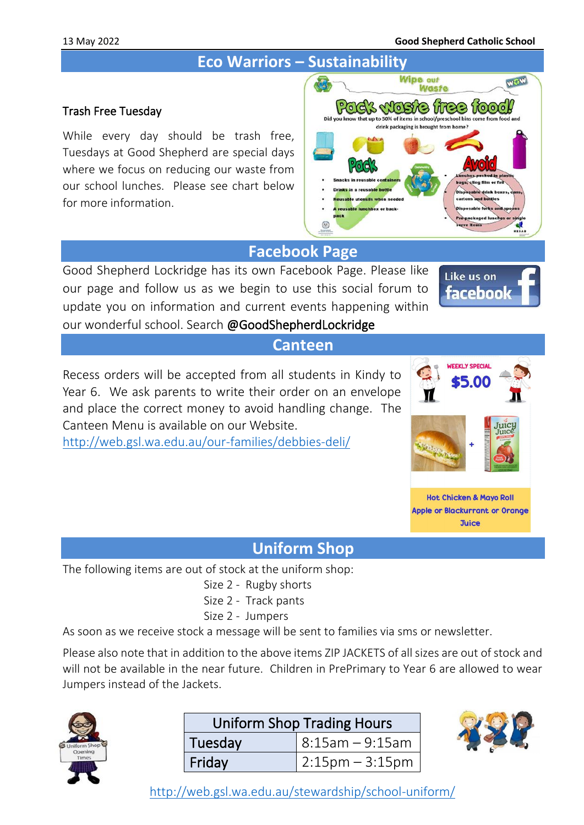# **Eco Warriors – Sustainability**

### Trash Free Tuesday

While every day should be trash free, Tuesdays at Good Shepherd are special days where we focus on reducing our waste from our school lunches. Please see chart below for more information.



# **Facebook Page**

Good Shepherd Lockridge has its own Facebook Page. Please like our page and follow us as we begin to use this social forum to update you on information and current events happening within our wonderful school. Search @GoodShepherdLockridge



#### **Canteen**

Recess orders will be accepted from all students in Kindy to Year 6. We ask parents to write their order on an envelope and place the correct money to avoid handling change. The Canteen Menu is available on our Website.

<http://web.gsl.wa.edu.au/our-families/debbies-deli/>



**Hot Chicken & Mayo Roll Apple or Blackurrant or Orange Juice** 

## **Uniform Shop**

The following items are out of stock at the uniform shop:

- Size 2 Rugby shorts
- Size 2 Track pants
- Size 2 Jumpers

As soon as we receive stock a message will be sent to families via sms or newsletter.

Please also note that in addition to the above items ZIP JACKETS of all sizes are out of stock and will not be available in the near future. Children in PrePrimary to Year 6 are allowed to wear Jumpers instead of the Jackets.



| <b>Uniform Shop Trading Hours</b> |                     |  |  |
|-----------------------------------|---------------------|--|--|
| Tuesday                           | $ 8:15$ am – 9:15am |  |  |
| Friday                            | $ 2:15$ pm – 3:15pm |  |  |



<http://web.gsl.wa.edu.au/stewardship/school-uniform/>